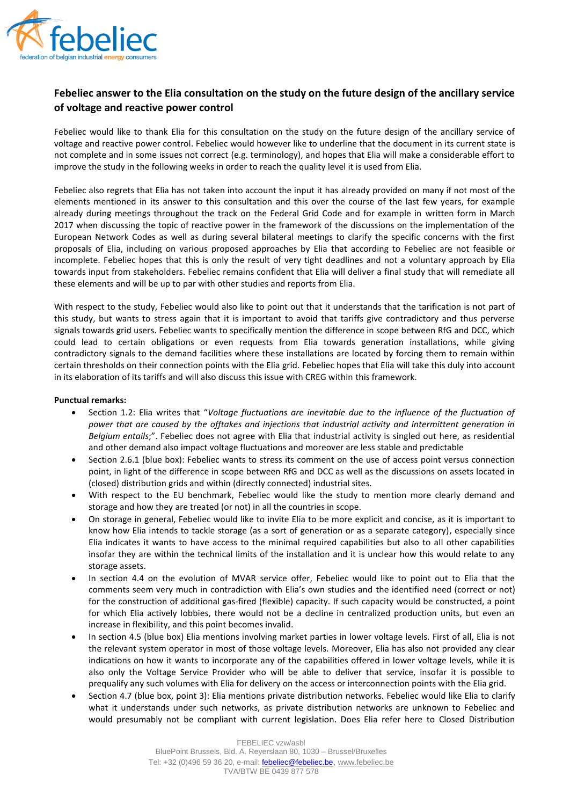

## **Febeliec answer to the Elia consultation on the study on the future design of the ancillary service of voltage and reactive power control**

Febeliec would like to thank Elia for this consultation on the study on the future design of the ancillary service of voltage and reactive power control. Febeliec would however like to underline that the document in its current state is not complete and in some issues not correct (e.g. terminology), and hopes that Elia will make a considerable effort to improve the study in the following weeks in order to reach the quality level it is used from Elia.

Febeliec also regrets that Elia has not taken into account the input it has already provided on many if not most of the elements mentioned in its answer to this consultation and this over the course of the last few years, for example already during meetings throughout the track on the Federal Grid Code and for example in written form in March 2017 when discussing the topic of reactive power in the framework of the discussions on the implementation of the European Network Codes as well as during several bilateral meetings to clarify the specific concerns with the first proposals of Elia, including on various proposed approaches by Elia that according to Febeliec are not feasible or incomplete. Febeliec hopes that this is only the result of very tight deadlines and not a voluntary approach by Elia towards input from stakeholders. Febeliec remains confident that Elia will deliver a final study that will remediate all these elements and will be up to par with other studies and reports from Elia.

With respect to the study, Febeliec would also like to point out that it understands that the tarification is not part of this study, but wants to stress again that it is important to avoid that tariffs give contradictory and thus perverse signals towards grid users. Febeliec wants to specifically mention the difference in scope between RfG and DCC, which could lead to certain obligations or even requests from Elia towards generation installations, while giving contradictory signals to the demand facilities where these installations are located by forcing them to remain within certain thresholds on their connection points with the Elia grid. Febeliec hopes that Elia will take this duly into account in its elaboration of its tariffs and will also discuss this issue with CREG within this framework.

## **Punctual remarks:**

- Section 1.2: Elia writes that "*Voltage fluctuations are inevitable due to the influence of the fluctuation of power that are caused by the offtakes and injections that industrial activity and intermittent generation in Belgium entails*;". Febeliec does not agree with Elia that industrial activity is singled out here, as residential and other demand also impact voltage fluctuations and moreover are less stable and predictable
- Section 2.6.1 (blue box): Febeliec wants to stress its comment on the use of access point versus connection point, in light of the difference in scope between RfG and DCC as well as the discussions on assets located in (closed) distribution grids and within (directly connected) industrial sites.
- With respect to the EU benchmark, Febeliec would like the study to mention more clearly demand and storage and how they are treated (or not) in all the countries in scope.
- On storage in general, Febeliec would like to invite Elia to be more explicit and concise, as it is important to know how Elia intends to tackle storage (as a sort of generation or as a separate category), especially since Elia indicates it wants to have access to the minimal required capabilities but also to all other capabilities insofar they are within the technical limits of the installation and it is unclear how this would relate to any storage assets.
- In section 4.4 on the evolution of MVAR service offer, Febeliec would like to point out to Elia that the comments seem very much in contradiction with Elia's own studies and the identified need (correct or not) for the construction of additional gas-fired (flexible) capacity. If such capacity would be constructed, a point for which Elia actively lobbies, there would not be a decline in centralized production units, but even an increase in flexibility, and this point becomes invalid.
- In section 4.5 (blue box) Elia mentions involving market parties in lower voltage levels. First of all, Elia is not the relevant system operator in most of those voltage levels. Moreover, Elia has also not provided any clear indications on how it wants to incorporate any of the capabilities offered in lower voltage levels, while it is also only the Voltage Service Provider who will be able to deliver that service, insofar it is possible to prequalify any such volumes with Elia for delivery on the access or interconnection points with the Elia grid.
- Section 4.7 (blue box, point 3): Elia mentions private distribution networks. Febeliec would like Elia to clarify what it understands under such networks, as private distribution networks are unknown to Febeliec and would presumably not be compliant with current legislation. Does Elia refer here to Closed Distribution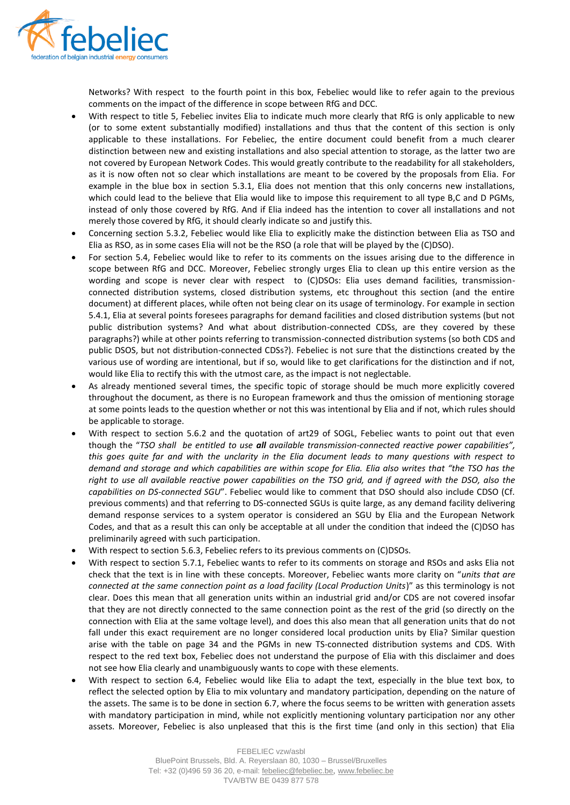

Networks? With respect to the fourth point in this box, Febeliec would like to refer again to the previous comments on the impact of the difference in scope between RfG and DCC.

- With respect to title 5, Febeliec invites Elia to indicate much more clearly that RfG is only applicable to new (or to some extent substantially modified) installations and thus that the content of this section is only applicable to these installations. For Febeliec, the entire document could benefit from a much clearer distinction between new and existing installations and also special attention to storage, as the latter two are not covered by European Network Codes. This would greatly contribute to the readability for all stakeholders, as it is now often not so clear which installations are meant to be covered by the proposals from Elia. For example in the blue box in section 5.3.1, Elia does not mention that this only concerns new installations, which could lead to the believe that Elia would like to impose this requirement to all type B,C and D PGMs, instead of only those covered by RfG. And if Elia indeed has the intention to cover all installations and not merely those covered by RfG, it should clearly indicate so and justify this.
- Concerning section 5.3.2, Febeliec would like Elia to explicitly make the distinction between Elia as TSO and Elia as RSO, as in some cases Elia will not be the RSO (a role that will be played by the (C)DSO).
- For section 5.4, Febeliec would like to refer to its comments on the issues arising due to the difference in scope between RfG and DCC. Moreover, Febeliec strongly urges Elia to clean up this entire version as the wording and scope is never clear with respect to (C)DSOs: Elia uses demand facilities, transmissionconnected distribution systems, closed distribution systems, etc throughout this section (and the entire document) at different places, while often not being clear on its usage of terminology. For example in section 5.4.1, Elia at several points foresees paragraphs for demand facilities and closed distribution systems (but not public distribution systems? And what about distribution-connected CDSs, are they covered by these paragraphs?) while at other points referring to transmission-connected distribution systems (so both CDS and public DSOS, but not distribution-connected CDSs?). Febeliec is not sure that the distinctions created by the various use of wording are intentional, but if so, would like to get clarifications for the distinction and if not, would like Elia to rectify this with the utmost care, as the impact is not neglectable.
- As already mentioned several times, the specific topic of storage should be much more explicitly covered throughout the document, as there is no European framework and thus the omission of mentioning storage at some points leads to the question whether or not this was intentional by Elia and if not, which rules should be applicable to storage.
- With respect to section 5.6.2 and the quotation of art29 of SOGL, Febeliec wants to point out that even though the "*TSO shall be entitled to use all available transmission-connected reactive power capabilities", this goes quite far and with the unclarity in the Elia document leads to many questions with respect to demand and storage and which capabilities are within scope for Elia. Elia also writes that "the TSO has the right to use all available reactive power capabilities on the TSO grid, and if agreed with the DSO, also the capabilities on DS-connected SGU*". Febeliec would like to comment that DSO should also include CDSO (Cf. previous comments) and that referring to DS-connected SGUs is quite large, as any demand facility delivering demand response services to a system operator is considered an SGU by Elia and the European Network Codes, and that as a result this can only be acceptable at all under the condition that indeed the (C)DSO has preliminarily agreed with such participation.
- With respect to section 5.6.3, Febeliec refers to its previous comments on (C)DSOs.
- With respect to section 5.7.1, Febeliec wants to refer to its comments on storage and RSOs and asks Elia not check that the text is in line with these concepts. Moreover, Febeliec wants more clarity on "*units that are connected at the same connection point as a load facility (Local Production Units*)" as this terminology is not clear. Does this mean that all generation units within an industrial grid and/or CDS are not covered insofar that they are not directly connected to the same connection point as the rest of the grid (so directly on the connection with Elia at the same voltage level), and does this also mean that all generation units that do not fall under this exact requirement are no longer considered local production units by Elia? Similar question arise with the table on page 34 and the PGMs in new TS-connected distribution systems and CDS. With respect to the red text box, Febeliec does not understand the purpose of Elia with this disclaimer and does not see how Elia clearly and unambiguously wants to cope with these elements.
- With respect to section 6.4, Febeliec would like Elia to adapt the text, especially in the blue text box, to reflect the selected option by Elia to mix voluntary and mandatory participation, depending on the nature of the assets. The same is to be done in section 6.7, where the focus seems to be written with generation assets with mandatory participation in mind, while not explicitly mentioning voluntary participation nor any other assets. Moreover, Febeliec is also unpleased that this is the first time (and only in this section) that Elia